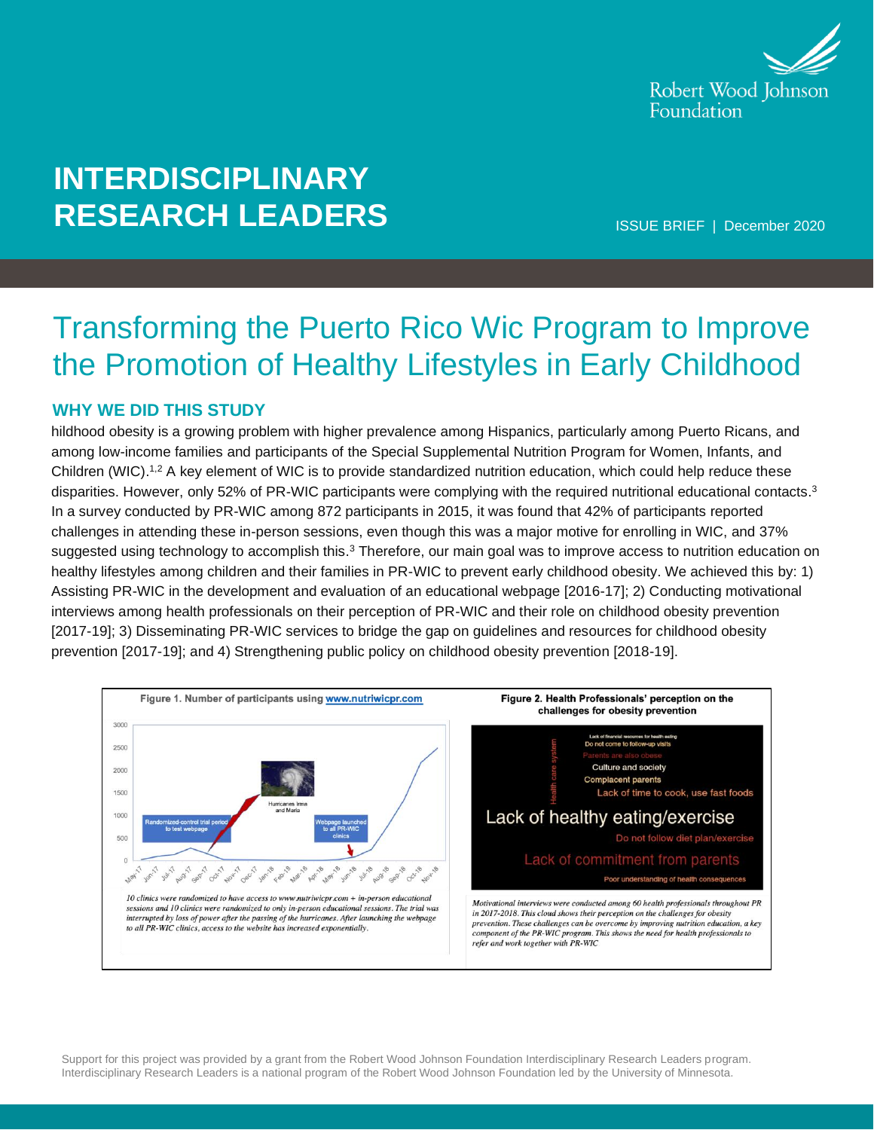

# **INTERDISCIPLINARY RESEARCH LEADERS**

ISSUE BRIEF | December 2020

# Transforming the Puerto Rico Wic Program to Improve the Promotion of Healthy Lifestyles in Early Childhood

### **WHY WE DID THIS STUDY**

hildhood obesity is a growing problem with higher prevalence among Hispanics, particularly among Puerto Ricans, and among low-income families and participants of the Special Supplemental Nutrition Program for Women, Infants, and Children (WIC).<sup>1,2</sup> A key element of WIC is to provide standardized nutrition education, which could help reduce these disparities. However, only 52% of PR-WIC participants were complying with the required nutritional educational contacts.<sup>3</sup> In a survey conducted by PR-WIC among 872 participants in 2015, it was found that 42% of participants reported challenges in attending these in-person sessions, even though this was a major motive for enrolling in WIC, and 37% suggested using technology to accomplish this.<sup>3</sup> Therefore, our main goal was to improve access to nutrition education on healthy lifestyles among children and their families in PR-WIC to prevent early childhood obesity. We achieved this by: 1) Assisting PR-WIC in the development and evaluation of an educational webpage [2016-17]; 2) Conducting motivational interviews among health professionals on their perception of PR-WIC and their role on childhood obesity prevention [2017-19]; 3) Disseminating PR-WIC services to bridge the gap on guidelines and resources for childhood obesity prevention [2017-19]; and 4) Strengthening public policy on childhood obesity prevention [2018-19].



Support for this project was provided by a grant from the Robert Wood Johnson Foundation Interdisciplinary Research Leaders program. Interdisciplinary Research Leaders is a national program of the Robert Wood Johnson Foundation led by the University of Minnesota.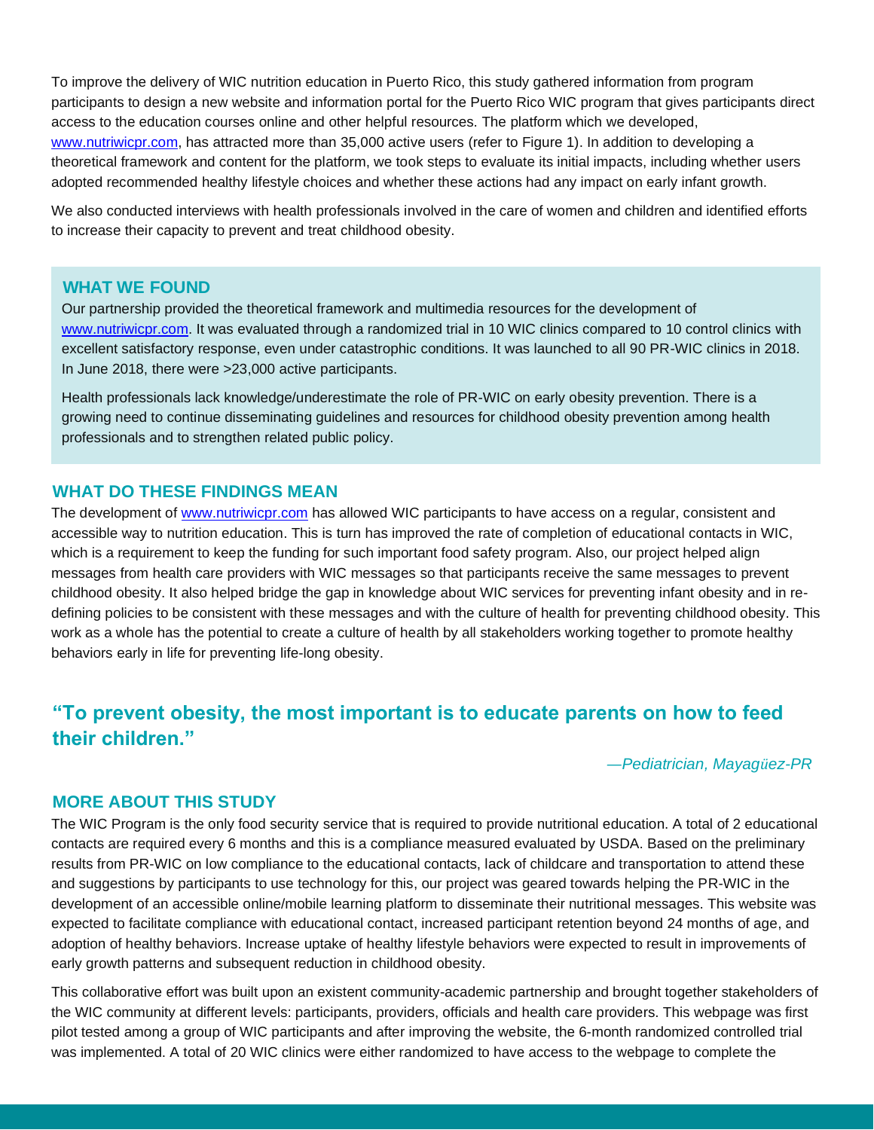To improve the delivery of WIC nutrition education in Puerto Rico, this study gathered information from program participants to design a new website and information portal for the Puerto Rico WIC program that gives participants direct access to the education courses online and other helpful resources. The platform which we developed, [www.nutriwicpr.com,](https://www.nutriwicpr.com/) has attracted more than 35,000 active users (refer to Figure 1). In addition to developing a theoretical framework and content for the platform, we took steps to evaluate its initial impacts, including whether users adopted recommended healthy lifestyle choices and whether these actions had any impact on early infant growth.

We also conducted interviews with health professionals involved in the care of women and children and identified efforts to increase their capacity to prevent and treat childhood obesity.

#### **WHAT WE FOUND**

Our partnership provided the theoretical framework and multimedia resources for the development of [www.nutriwicpr.com.](https://www.nutriwicpr.com/) It was evaluated through a randomized trial in 10 WIC clinics compared to 10 control clinics with excellent satisfactory response, even under catastrophic conditions. It was launched to all 90 PR-WIC clinics in 2018. In June 2018, there were >23,000 active participants.

Health professionals lack knowledge/underestimate the role of PR-WIC on early obesity prevention. There is a growing need to continue disseminating guidelines and resources for childhood obesity prevention among health professionals and to strengthen related public policy.

#### **WHAT DO THESE FINDINGS MEAN**

The development of [www.nutriwicpr.com](https://www.nutriwicpr.com/) has allowed WIC participants to have access on a regular, consistent and accessible way to nutrition education. This is turn has improved the rate of completion of educational contacts in WIC, which is a requirement to keep the funding for such important food safety program. Also, our project helped align messages from health care providers with WIC messages so that participants receive the same messages to prevent childhood obesity. It also helped bridge the gap in knowledge about WIC services for preventing infant obesity and in redefining policies to be consistent with these messages and with the culture of health for preventing childhood obesity. This work as a whole has the potential to create a culture of health by all stakeholders working together to promote healthy behaviors early in life for preventing life-long obesity.

## **"To prevent obesity, the most important is to educate parents on how to feed their children."**

*—Pediatrician, Mayagüez-PR*

#### **MORE ABOUT THIS STUDY**

The WIC Program is the only food security service that is required to provide nutritional education. A total of 2 educational contacts are required every 6 months and this is a compliance measured evaluated by USDA. Based on the preliminary results from PR-WIC on low compliance to the educational contacts, lack of childcare and transportation to attend these and suggestions by participants to use technology for this, our project was geared towards helping the PR-WIC in the development of an accessible online/mobile learning platform to disseminate their nutritional messages. This website was expected to facilitate compliance with educational contact, increased participant retention beyond 24 months of age, and adoption of healthy behaviors. Increase uptake of healthy lifestyle behaviors were expected to result in improvements of early growth patterns and subsequent reduction in childhood obesity.

This collaborative effort was built upon an existent community-academic partnership and brought together stakeholders of the WIC community at different levels: participants, providers, officials and health care providers. This webpage was first pilot tested among a group of WIC participants and after improving the website, the 6-month randomized controlled trial was implemented. A total of 20 WIC clinics were either randomized to have access to the webpage to complete the